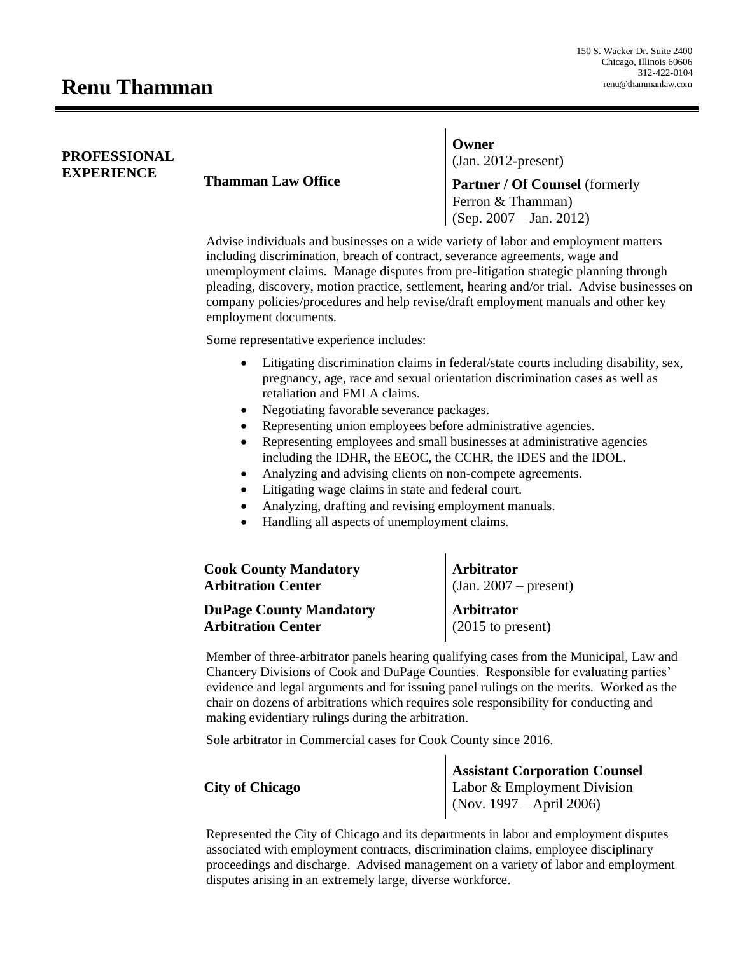## **PROFESSIONAL**

**EXPERIENCE Thamman Law Office** 

**Owner** (Jan. 2012-present)

**Partner / Of Counsel** (formerly Ferron & Thamman) (Sep. 2007 – Jan. 2012)

Advise individuals and businesses on a wide variety of labor and employment matters including discrimination, breach of contract, severance agreements, wage and unemployment claims. Manage disputes from pre-litigation strategic planning through pleading, discovery, motion practice, settlement, hearing and/or trial. Advise businesses on company policies/procedures and help revise/draft employment manuals and other key employment documents.

Some representative experience includes:

- Litigating discrimination claims in federal/state courts including disability, sex, pregnancy, age, race and sexual orientation discrimination cases as well as retaliation and FMLA claims.
- Negotiating favorable severance packages.
- Representing union employees before administrative agencies.
- Representing employees and small businesses at administrative agencies including the IDHR, the EEOC, the CCHR, the IDES and the IDOL.

 $\mathbf{L}$ 

- Analyzing and advising clients on non-compete agreements.
- Litigating wage claims in state and federal court.
- Analyzing, drafting and revising employment manuals.
- Handling all aspects of unemployment claims.

| <b>Cook County Mandatory</b><br><b>Arbitration Center</b> | Arbitrator<br>$(\text{Jan. } 2007 - \text{present})$ |
|-----------------------------------------------------------|------------------------------------------------------|
| <b>DuPage County Mandatory</b>                            | Arbitrator                                           |
| <b>Arbitration Center</b>                                 | $(2015 \text{ to present})$                          |

Member of three-arbitrator panels hearing qualifying cases from the Municipal, Law and Chancery Divisions of Cook and DuPage Counties. Responsible for evaluating parties' evidence and legal arguments and for issuing panel rulings on the merits. Worked as the chair on dozens of arbitrations which requires sole responsibility for conducting and making evidentiary rulings during the arbitration.

Sole arbitrator in Commercial cases for Cook County since 2016.

|                        | <b>Assistant Corporation Counsel</b> |
|------------------------|--------------------------------------|
| <b>City of Chicago</b> | Labor & Employment Division          |
|                        | $\log 1997 -$ April 2006)            |

Represented the City of Chicago and its departments in labor and employment disputes associated with employment contracts, discrimination claims, employee disciplinary proceedings and discharge. Advised management on a variety of labor and employment disputes arising in an extremely large, diverse workforce.